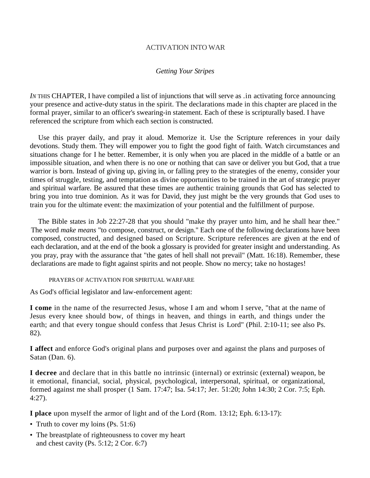## ACTIVATION INTO WAR

## *Getting Your Stripes*

*IN* THIS CHAPTER, I have compiled a list of injunctions that will serve as .in activating force announcing your presence and active-duty status in the spirit. The declarations made in this chapter are placed in the formal prayer, similar to an officer's swearing-in statement. Each of these is scripturally based. I have referenced the scripture from which each section is constructed.

Use this prayer daily, and pray it aloud. Memorize it. Use the Scripture references in your daily devotions. Study them. They will empower you to fight the good fight of faith. Watch circumstances and situations change for I he better. Remember, it is only when you are placed in the middle of a battle or an impossible situation, and when there is no one or nothing that can save or deliver you but God, that a true warrior is born. Instead of giving up, giving in, or falling prey to the strategies of the enemy, consider your times of struggle, testing, and temptation as divine opportunities to be trained in the art of strategic prayer and spiritual warfare. Be assured that these times are authentic training grounds that God has selected to bring you into true dominion. As it was for David, they just might be the very grounds that God uses to train you for the ultimate event: the maximization of your potential and the fulfillment of purpose.

The Bible states in Job 22:27-28 that you should "make thy prayer unto him, and he shall hear thee." The word *make means* "to compose, construct, or design." Each one of the following declarations have been composed, constructed, and designed based on Scripture. Scripture references are given at the end of each declaration, and at the end of the book a glossary is provided for greater insight and understanding. As you pray, pray with the assurance that "the gates of hell shall not prevail" (Matt. 16:18). Remember, these declarations are made to fight against spirits and not people. Show no mercy; take no hostages!

PRAYERS OF ACTIVATION FOR SPIRITUAL WARFARE

As God's official legislator and law-enforcement agent:

**I come** in the name of the resurrected Jesus, whose I am and whom I serve, "that at the name of Jesus every knee should bow, of things in heaven, and things in earth, and things under the earth; and that every tongue should confess that Jesus Christ is Lord" (Phil. 2:10-11; see also Ps. 82).

**I affect** and enforce God's original plans and purposes over and against the plans and purposes of Satan (Dan. 6).

**I decree** and declare that in this battle no intrinsic (internal) or extrinsic (external) weapon, be it emotional, financial, social, physical, psychological, interpersonal, spiritual, or organizational, formed against me shall prosper (1 Sam. 17:47; Isa. 54:17; Jer. 51:20; John 14:30; 2 Cor. 7:5; Eph. 4:27).

**I place** upon myself the armor of light and of the Lord (Rom. 13:12; Eph. 6:13-17):

- Truth to cover my loins (Ps. 51:6)
- The breastplate of righteousness to cover my heart and chest cavity (Ps. 5:12; 2 Cor. 6:7)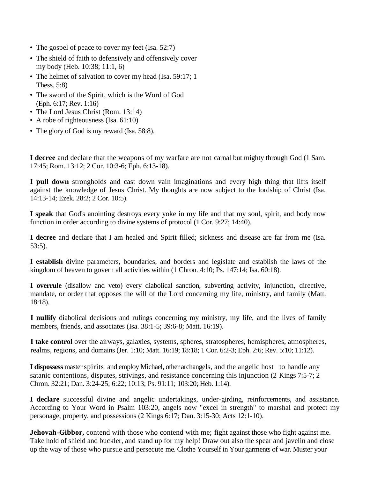- The gospel of peace to cover my feet (Isa. 52:7)
- The shield of faith to defensively and offensively cover my body (Heb. 10:38; 11:1, 6)
- The helmet of salvation to cover my head (Isa. 59:17; 1) Thess. 5:8)
- The sword of the Spirit, which is the Word of God (Eph. 6:17; Rev. 1:16)
- The Lord Jesus Christ (Rom. 13:14)
- A robe of righteousness (Isa. 61:10)
- The glory of God is my reward (Isa. 58:8).

**I decree** and declare that the weapons of my warfare are not carnal but mighty through God (1 Sam. 17:45; Rom. 13:12; 2 Cor. 10:3-6; Eph. 6:13-18).

**I pull down** strongholds and cast down vain imaginations and every high thing that lifts itself against the knowledge of Jesus Christ. My thoughts are now subject to the lordship of Christ (Isa. 14:13-14; Ezek. 28:2; 2 Cor. 10:5).

**I speak** that God's anointing destroys every yoke in my life and that my soul, spirit, and body now function in order according to divine systems of protocol (1 Cor. 9:27; 14:40).

**I decree** and declare that I am healed and Spirit filled; sickness and disease are far from me (Isa. 53:5).

**I establish** divine parameters, boundaries, and borders and legislate and establish the laws of the kingdom of heaven to govern all activities within (1 Chron. 4:10; Ps. 147:14; Isa. 60:18).

**I overrule** (disallow and veto) every diabolical sanction, subverting activity, injunction, directive, mandate, or order that opposes the will of the Lord concerning my life, ministry, and family (Matt. 18:18).

**I nullify** diabolical decisions and rulings concerning my ministry, my life, and the lives of family members, friends, and associates (Isa, 38:1-5: 39:6-8; Matt. 16:19).

**I take control** over the airways, galaxies, systems, spheres, stratospheres, hemispheres, atmospheres, realms, regions, and domains (Jer. 1:10; Matt. 16:19; 18:18; 1 Cor. 6:2-3; Eph. 2:6; Rev. 5:10; 11:12).

**I dispossess** master spirits and employ Michael, other archangels, and the angelic host to handle any satanic contentions, disputes, strivings, and resistance concerning this injunction (2 Kings 7:5-7; 2 Chron. 32:21; Dan. 3:24-25; 6:22; 10:13; Ps. 91:11; 103:20; Heb. 1:14).

**I declare** successful divine and angelic undertakings, under-girding, reinforcements, and assistance. According to Your Word in Psalm 103:20, angels now "excel in strength" to marshal and protect my personage, property, and possessions (2 Kings 6:17; Dan. 3:15-30; Acts 12:1-10).

**Jehovah-Gibbor,** contend with those who contend with me; fight against those who fight against me. Take hold of shield and buckler, and stand up for my help! Draw out also the spear and javelin and close up the way of those who pursue and persecute me. Clothe Yourself in Your garments of war. Muster your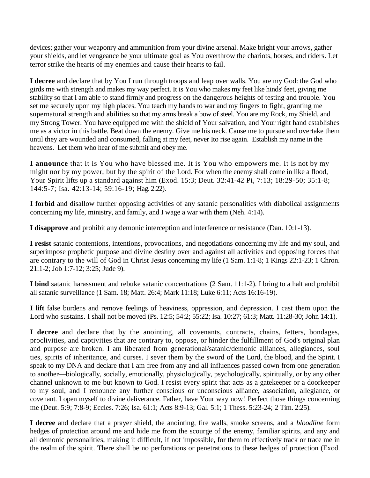devices; gather your weaponry and ammunition from your divine arsenal. Make bright your arrows, gather your shields, and let vengeance be your ultimate goal as You overthrow the chariots, horses, and riders. Let terror strike the hearts of my enemies and cause their hearts to fail.

**I decree** and declare that by You I run through troops and leap over walls. You are my God: the God who girds me with strength and makes my way perfect. It is You who makes my feet like hinds' feet, giving me stability so that I am able to stand firmly and progress on the dangerous heights of testing and trouble. You set me securely upon my high places. You teach my hands to war and my fingers to fight, granting me supernatural strength and abilities so that my arms break a bow of steel. You are my Rock, my Shield, and my Strong Tower. You have equipped me with the shield of Your salvation, and Your right hand establishes me as a victor in this battle. Beat down the enemy. Give me his neck. Cause me to pursue and overtake them until they are wounded and consumed, falling at my feet, never Ito rise again. Establish my name in the heavens. Let them who hear of me submit and obey me.

**I announce** that it is You who have blessed me. It is You who empowers me. It is not by my might nor by my power, but by the spirit of the Lord. For when the enemy shall come in like a flood, Your Spirit lifts up a standard against him (Exod. 15:3; Deut. 32:41-42 Pi, 7:13; 18:29-50; 35:1-8; 144:5-7; Isa. 42:13-14; 59:16-19; Hag. 2:22).

**I forbid** and disallow further opposing activities of any satanic personalities with diabolical assignments concerning my life, ministry, and family, and I wage a war with them (Neh. 4:14).

**I disapprove** and prohibit any demonic interception and interference or resistance (Dan. 10:1-13).

**I resist** satanic contentions, intentions, provocations, and negotiations concerning my life and my soul, and superimpose prophetic purpose and divine destiny over and against all activities and opposing forces that are contrary to the will of God in Christ Jesus concerning my life (1 Sam. 1:1-8; 1 Kings 22:1-23; 1 Chron. 21:1-2; Job 1:7-12; 3:25; Jude 9).

**I bind** satanic harassment and rebuke satanic concentrations (2 Sam. 11:1-2). I bring to a halt and prohibit all satanic surveillance (1 Sam. 18; Matt. 26:4; Mark 11:18; Luke 6:11; Acts 16:16-19).

**I lift** false burdens and remove feelings of heaviness, oppression, and depression. I cast them upon the Lord who sustains. I shall not be moved (Ps. 12:5; 54:2; 55:22; Isa. 10:27; 61:3; Matt. 11:28-30; John 14:1).

**I decree** and declare that by the anointing, all covenants, contracts, chains, fetters, bondages, proclivities, and captivities that are contrary to, oppose, or hinder the fulfillment of God's original plan and purpose are broken. I am liberated from generational/satanic/demonic alliances, allegiances, soul ties, spirits of inheritance, and curses. I sever them by the sword of the Lord, the blood, and the Spirit. I speak to my DNA and declare that I am free from any and all influences passed down from one generation to another—biologically, socially, emotionally, physiologically, psychologically, spiritually, or by any other channel unknown to me but known to God. I resist every spirit that acts as a gatekeeper or a doorkeeper to my soul, and I renounce any further conscious or unconscious alliance, association, allegiance, or covenant. I open myself to divine deliverance. Father, have Your way now! Perfect those things concerning me (Deut. 5:9; 7:8-9; Eccles. 7:26; Isa. 61:1; Acts 8:9-13; Gal. 5:1; 1 Thess. 5:23-24; 2 Tim. 2:25).

**I decree** and declare that a prayer shield, the anointing, fire walls, smoke screens, and a *bloodline* form hedges of protection around me and hide me from the scourge of the enemy, familiar spirits, and any and all demonic personalities, making it difficult, if not impossible, for them to effectively track or trace me in the realm of the spirit. There shall be no perforations or penetrations to these hedges of protection (Exod.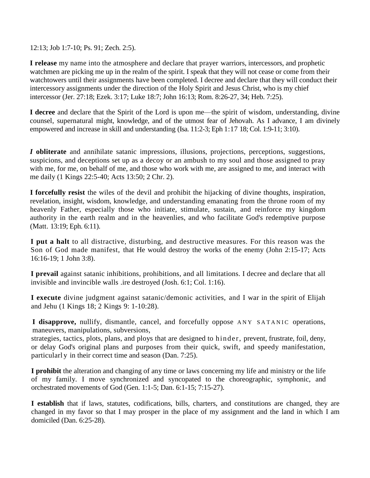12:13; Job 1:7-10; Ps. 91; Zech. 2:5).

**I release** my name into the atmosphere and declare that prayer warriors, intercessors, and prophetic watchmen are picking me up in the realm of the spirit. I speak that they will not cease or come from their watchtowers until their assignments have been completed. I decree and declare that they will conduct their intercessory assignments under the direction of the Holy Spirit and Jesus Christ, who is my chief intercessor (Jer. 27:18; Ezek. 3:17; Luke 18:7; John 16:13; Rom. 8:26-27, 34; Heb. 7:25).

**I decree** and declare that the Spirit of the Lord is upon me—the spirit of wisdom, understanding, divine counsel, supernatural might, knowledge, and of the utmost fear of Jehovah. As I advance, I am divinely empowered and increase in skill and understanding (Isa. 11:2-3; Eph 1:17 18; Col. 1:9-11; 3:10).

*I* **obliterate** and annihilate satanic impressions, illusions, projections, perceptions, suggestions, suspicions, and deceptions set up as a decoy or an ambush to my soul and those assigned to pray with me, for me, on behalf of me, and those who work with me, are assigned to me, and interact with me daily (1 Kings 22:5-40; Acts 13:50; 2 Chr. 2).

**I forcefully resist** the wiles of the devil and prohibit the hijacking of divine thoughts, inspiration, revelation, insight, wisdom, knowledge, and understanding emanating from the throne room of my heavenly Father, especially those who initiate, stimulate, sustain, and reinforce my kingdom authority in the earth realm and in the heavenlies, and who facilitate God's redemptive purpose (Matt. 13:19; Eph. 6:11).

**I put a halt** to all distractive, disturbing, and destructive measures. For this reason was the Son of God made manifest, that He would destroy the works of the enemy (John 2:15-17; Acts 16:16-19; 1 John 3:8).

**I prevail** against satanic inhibitions, prohibitions, and all limitations. I decree and declare that all invisible and invincible walls .ire destroyed (Josh. 6:1; Col. 1:16).

**I execute** divine judgment against satanic/demonic activities, and I war in the spirit of Elijah and Jehu (1 Kings 18; 2 Kings 9: 1-10:28).

**I disapprove,** nullify, dismantle, cancel, and forcefully oppose ANY SATANIC operations, maneuvers, manipulations, subversions,

strategies, tactics, plots, plans, and ploys that are designed to hinder, prevent, frustrate, foil, deny, or delay God's original plans and purposes from their quick, swift, and speedy manifestation, particularl y in their correct time and season (Dan. 7:25).

**I prohibit** the alteration and changing of any time or laws concerning my life and ministry or the life of my family. I move synchronized and syncopated to the choreographic, symphonic, and orchestrated movements of God (Gen. 1:1-5; Dan. 6:1-15; 7:15-27).

**I establish** that if laws, statutes, codifications, bills, charters, and constitutions are changed, they are changed in my favor so that I may prosper in the place of my assignment and the land in which I am domiciled (Dan. 6:25-28).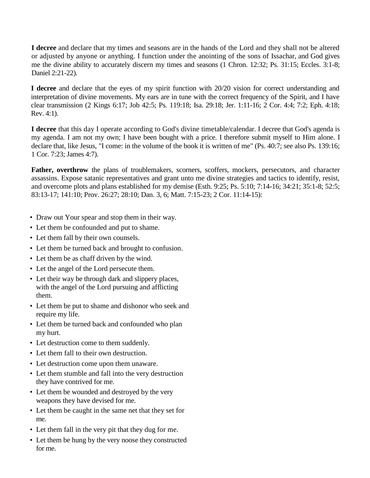**I decree** and declare that my times and seasons are in the hands of the Lord and they shall not be altered or adjusted by anyone or anything. I function under the anointing of the sons of Issachar, and God gives me the divine ability to accurately discern my times and seasons (1 Chron. 12:32; Ps. 31:15; Eccles. 3:1-8; Daniel 2:21-22).

**I decree** and declare that the eyes of my spirit function with 20/20 vision for correct understanding and interpretation of divine movements. My ears are in tune with the correct frequency of the Spirit, and I have clear transmission (2 Kings 6:17; Job 42:5; Ps. 119:18; Isa. 29:18; Jer. 1:11-16; 2 Cor. 4:4; 7:2; Eph. 4:18; Rev. 4:1).

**I decree** that this day I operate according to God's divine timetable/calendar. I decree that God's agenda is my agenda. I am not my own; I have been bought with a price. I therefore submit myself to Him alone. I declare that, like Jesus, "I come: in the volume of the book it is written of me" (Ps. 40:7; see also Ps. 139:16; 1 Cor. 7:23; James 4:7).

**Father, overthrow** the plans of troublemakers, scorners, scoffers, mockers, persecutors, and character assassins. Expose satanic representatives and grant unto me divine strategies and tactics to identify, resist, and overcome plots and plans established for my demise (Esth. 9:25; Ps. 5:10; 7:14-16; 34:21; 35:1-8; 52:5; 83:13-17; 141:10; Prov. 26:27; 28:10; Dan. 3, 6; Matt. 7:15-23; 2 Cor. 11:14-15):

- Draw out Your spear and stop them in their way.
- Let them be confounded and put to shame.
- Let them fall by their own counsels.
- Let them be turned back and brought to confusion.
- Let them be as chaff driven by the wind.
- Let the angel of the Lord persecute them.
- Let their way be through dark and slippery places, with the angel of the Lord pursuing and afflicting them.
- Let them be put to shame and dishonor who seek and require my life.
- Let them be turned back and confounded who plan my hurt.
- Let destruction come to them suddenly.
- Let them fall to their own destruction.
- Let destruction come upon them unaware.
- Let them stumble and fall into the very destruction they have contrived for me.
- Let them be wounded and destroyed by the very weapons they have devised for me.
- Let them be caught in the same net that they set for me.
- Let them fall in the very pit that they dug for me.
- Let them be hung by the very noose they constructed for me.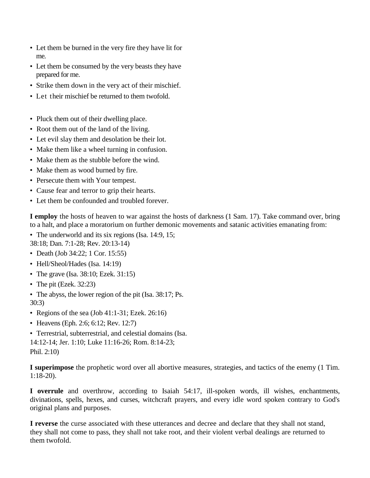- Let them be burned in the very fire they have lit for me.
- Let them be consumed by the very beasts they have prepared for me.
- Strike them down in the very act of their mischief.
- Let their mischief be returned to them twofold.
- Pluck them out of their dwelling place.
- Root them out of the land of the living.
- Let evil slay them and desolation be their lot.
- Make them like a wheel turning in confusion.
- Make them as the stubble before the wind.
- Make them as wood burned by fire.
- Persecute them with Your tempest.
- Cause fear and terror to grip their hearts.
- Let them be confounded and troubled forever.

**I employ** the hosts of heaven to war against the hosts of darkness (1 Sam. 17). Take command over, bring to a halt, and place a moratorium on further demonic movements and satanic activities emanating from:

- The underworld and its six regions (Isa. 14:9, 15; 38:18; Dan. 7:1-28; Rev. 20:13-14)
- Death (Job 34:22; 1 Cor. 15:55)
- Hell/Sheol/Hades (Isa. 14:19)
- The grave (Isa. 38:10; Ezek. 31:15)
- The pit (Ezek.  $32:23$ )
- The abyss, the lower region of the pit (Isa. 38:17; Ps. 30:3)
- Regions of the sea (Job 41:1-31; Ezek. 26:16)
- Heavens (Eph. 2:6; 6:12; Rev. 12:7)
- Terrestrial, subterrestrial, and celestial domains (Isa.

14:12-14; Jer. 1:10; Luke 11:16-26; Rom. 8:14-23; Phil. 2:10)

**I superimpose** the prophetic word over all abortive measures, strategies, and tactics of the enemy (1 Tim. 1:18-20).

**I overrule** and overthrow, according to Isaiah 54:17, ill-spoken words, ill wishes, enchantments, divinations, spells, hexes, and curses, witchcraft prayers, and every idle word spoken contrary to God's original plans and purposes.

**I reverse** the curse associated with these utterances and decree and declare that they shall not stand, they shall not come to pass, they shall not take root, and their violent verbal dealings are returned to them twofold.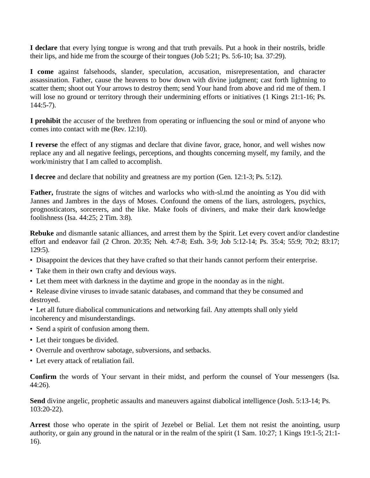**I declare** that every lying tongue is wrong and that truth prevails. Put a hook in their nostrils, bridle their lips, and hide me from the scourge of their tongues (Job 5:21; Ps. 5:6-10; Isa. 37:29).

**I come** against falsehoods, slander, speculation, accusation, misrepresentation, and character assassination. Father, cause the heavens to bow down with divine judgment; cast forth lightning to scatter them; shoot out Your arrows to destroy them; send Your hand from above and rid me of them. I will lose no ground or territory through their undermining efforts or initiatives (1 Kings 21:1-16; Ps. 144:5-7).

**I prohibit** the accuser of the brethren from operating or influencing the soul or mind of anyone who comes into contact with me (Rev. 12:10).

**I reverse** the effect of any stigmas and declare that divine favor, grace, honor, and well wishes now replace any and all negative feelings, perceptions, and thoughts concerning myself, my family, and the work/ministry that I am called to accomplish.

**I decree** and declare that nobility and greatness are my portion (Gen. 12:1-3; Ps. 5:12).

**Father,** frustrate the signs of witches and warlocks who with-sl.md the anointing as You did with Jannes and Jambres in the days of Moses. Confound the omens of the liars, astrologers, psychics, prognosticators, sorcerers, and the like. Make fools of diviners, and make their dark knowledge foolishness (Isa. 44:25; 2 Tim. 3:8).

**Rebuke** and dismantle satanic alliances, and arrest them by the Spirit. Let every covert and/or clandestine effort and endeavor fail (2 Chron. 20:35; Neh. 4:7-8; Esth. 3-9; Job 5:12-14; Ps. 35:4; 55:9; 70:2; 83:17; 129:5).

- Disappoint the devices that they have crafted so that their hands cannot perform their enterprise.
- Take them in their own crafty and devious ways.
- Let them meet with darkness in the daytime and grope in the noonday as in the night.
- Release divine viruses to invade satanic databases, and command that they be consumed and destroyed.
- Let all future diabolical communications and networking fail. Any attempts shall only yield incoherency and misunderstandings.
- Send a spirit of confusion among them.
- Let their tongues be divided.
- Overrule and overthrow sabotage, subversions, and setbacks.
- Let every attack of retaliation fail.

**Confirm** the words of Your servant in their midst, and perform the counsel of Your messengers (Isa. 44:26).

**Send** divine angelic, prophetic assaults and maneuvers against diabolical intelligence (Josh. 5:13-14; Ps. 103:20-22).

**Arrest** those who operate in the spirit of Jezebel or Belial. Let them not resist the anointing, usurp authority, or gain any ground in the natural or in the realm of the spirit (1 Sam. 10:27; 1 Kings 19:1-5; 21:1- 16).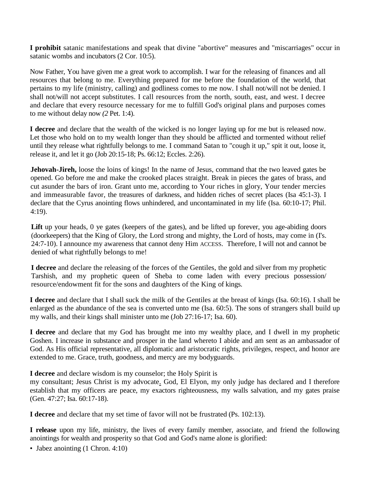**I prohibit** satanic manifestations and speak that divine "abortive" measures and "miscarriages" occur in satanic wombs and incubators (2 Cor. 10:5).

Now Father, You have given me a great work to accomplish. I war for the releasing of finances and all resources that belong to me. Everything prepared for me before the foundation of the world, that pertains to my life (ministry, calling) and godliness comes to me now. I shall not/will not be denied. I shall not/will not accept substitutes. I call resources from the north, south, east, and west. I decree and declare that every resource necessary for me to fulfill God's original plans and purposes comes to me without delay now *(2* Pet. 1:4).

**I decree** and declare that the wealth of the wicked is no longer laying up for me but is released now. Let those who hold on to my wealth longer than they should be afflicted and tormented without relief until they release what rightfully belongs to me. I command Satan to "cough it up," spit it out, loose it, release it, and let it go (Job 20:15-18; Ps. 66:12; Eccles. 2:26).

**Jehovah-Jireh,** loose the loins of kings! In the name of Jesus, command that the two leaved gates be opened. Go before me and make the crooked places straight. Break in pieces the gates of brass, and cut asunder the bars of iron. Grant unto me, according to Your riches in glory, Your tender mercies and immeasurable favor, the treasures of darkness, and hidden riches of secret places (Isa 45:1-3). I declare that the Cyrus anointing flows unhindered, and uncontaminated in my life (Isa. 60:10-17; Phil. 4:19).

Lift up your heads, 0 ye gates (keepers of the gates), and be lifted up forever, you age-abiding doors (doorkeepers) that the King of Glory, the Lord strong and mighty, the Lord of hosts, may come in (I's. 24:7-10). I announce my awareness that cannot deny Him ACCESS. Therefore, I will not and cannot be denied of what rightfully belongs to me!

**I decree** and declare the releasing of the forces of the Gentiles, the gold and silver from my prophetic Tarshish, and my prophetic queen of Sheba to come laden with every precious possession/ resource/endowment fit for the sons and daughters of the King of kings.

**I decree** and declare that I shall suck the milk of the Gentiles at the breast of kings (Isa. 60:16). I shall be enlarged as the abundance of the sea is converted unto me (Isa. 60:5). The sons of strangers shall build up my walls, and their kings shall minister unto me (Job 27:16-17; Isa. 60).

**I decree** and declare that my God has brought me into my wealthy place, and I dwell in my prophetic Goshen. I increase in substance and prosper in the land whereto I abide and am sent as an ambassador of God. As His official representative, all diplomatic and aristocratic rights, privileges, respect, and honor are extended to me. Grace, truth, goodness, and mercy are my bodyguards.

**I decree** and declare wisdom is my counselor; the Holy Spirit is

my consultant; Jesus Christ is my advocate. God, El Elyon, my only judge has declared and I therefore establish that my officers are peace, my exactors righteousness, my walls salvation, and my gates praise (Gen. 47:27; Isa. 60:17-18).

**I decree** and declare that my set time of favor will not be frustrated (Ps. 102:13).

**I release** upon my life, ministry, the lives of every family member, associate, and friend the following anointings for wealth and prosperity so that God and God's name alone is glorified:

• Jabez anointing (1 Chron. 4:10)